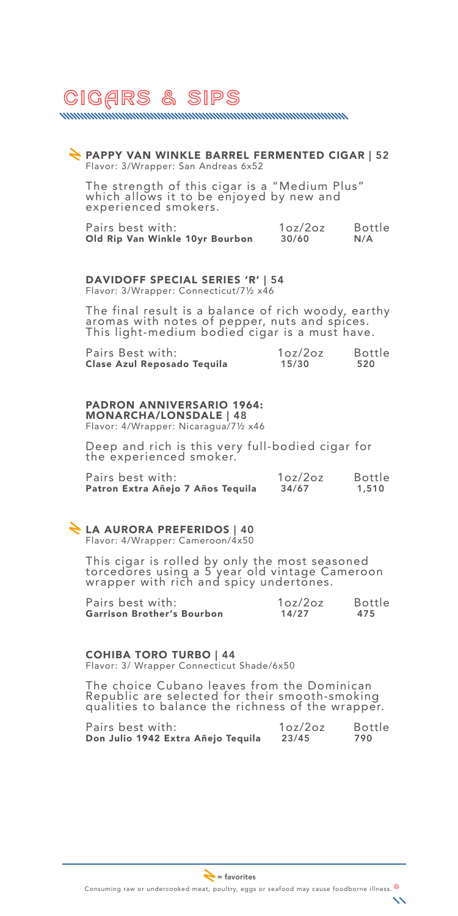# CigArs & Sips

www.www.www.www.www.www.www.www.www.

## PAPPY VAN WINKLE BARREL FERMENTED CIGAR | 52 Flavor: 3/Wrapper: San Andreas 6x52

The strength of this cigar is a "Medium Plus" which allows it to be enjoyed by new and experienced smokers.

| Pairs best with:                | 1oz/2oz | Bottle |
|---------------------------------|---------|--------|
| Old Rip Van Winkle 10yr Bourbon | 30/60   | N/A    |

### DAVIDOFF SPECIAL SERIES 'R' | 54

Flavor: 3/Wrapper: Connecticut/7½ x46

The final result is a balance of rich woody, earthy aromas with notes of pepper, nuts and spices. This light-medium bodied cigar is a must have.

| Pairs Best with:            | 1oz/2oz | <b>Bottle</b> |
|-----------------------------|---------|---------------|
| Clase Azul Reposado Tequila | 15/30   | 520           |

#### PADRON ANNIVERSARIO 1964: MONARCHA/LONSDALE | 48

Flavor: 4/Wrapper: Nicaragua/7½ x46

Deep and rich is this very full-bodied cigar for the experienced smoker.

| Pairs best with:                  | 1oz/2oz | <b>Bottle</b> |
|-----------------------------------|---------|---------------|
| Patron Extra Añejo 7 Años Tequila | 34/67   | 1,510         |

#### LA AURORA PREFERIDOS | 40 Flavor: 4/Wrapper: Cameroon/4x50

This cigar is rolled by only the most seasoned torcedores using a 5 year old vintage Cameroon wrapper with rich and spicy undertones.

| Pairs best with:           | 1oz/2oz | <b>Bottle</b> |
|----------------------------|---------|---------------|
| Garrison Brother's Bourbon | 14/27   | 475           |

COHIBA TORO TURBO | 44 Flavor: 3/ Wrapper Connecticut Shade/6x50

The choice Cubano leaves from the Dominican Republic are selected for their smooth-smoking qualities to balance the richness of the wrapper.

| Pairs best with:                   | 1oz/2oz | <b>Bottle</b> |
|------------------------------------|---------|---------------|
| Don Julio 1942 Extra Añejo Tequila | 23/45   | 790           |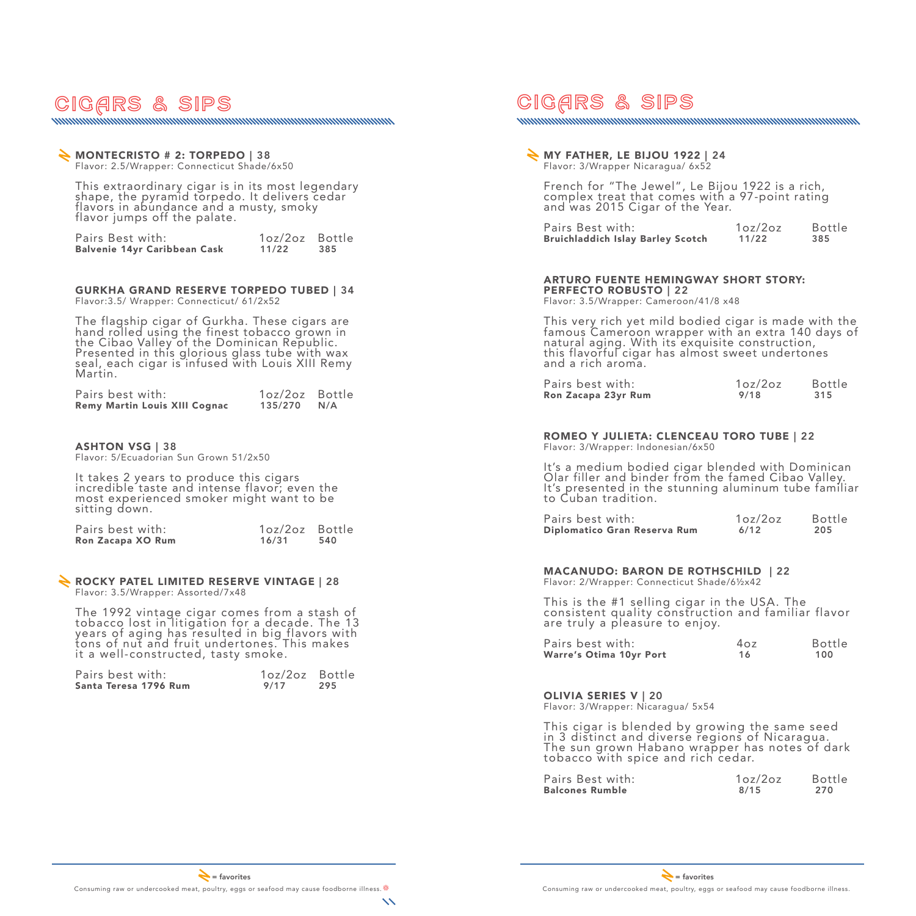## CigArs & Sips

### MONTECRISTO # 2: TORPEDO | 38 Flavor: 2.5/Wrapper: Connecticut Shade/6x50

This extraordinary cigar is in its most legendary shape, the pyramid torpedo. It delivers cedar flavors in abundance and a musty, smoky flavor jumps off the palate.

<u>mmmmmmmmmmmmmmmmmmmmmmmmmmmmmmmm</u>

| Pairs Best with:             | 1oz/2oz Bottle |     |
|------------------------------|----------------|-----|
| Balvenie 14yr Caribbean Cask | 11/22          | 385 |

#### GURKHA GRAND RESERVE TORPEDO TUBED | 34 Flavor:3.5/ Wrapper: Connecticut/ 61/2x52

The flagship cigar of Gurkha. These cigars are hand rolled using the finest tobacco grown in the Cibao Valley of the Dominican Republic. Presented in this glorious glass tube with wax seal, each cigar is infused with Louis XIII Remy Martin.

| Pairs best with:                     | 1oz/2oz Bottle |  |
|--------------------------------------|----------------|--|
| <b>Remy Martin Louis XIII Cognac</b> | $135/270$ N/A  |  |

### ASHTON VSG | 38

Flavor: 5/Ecuadorian Sun Grown 51/2x50

It takes 2 years to produce this cigars incredible taste and intense flavor; even the most experienced smoker might want to be sitting down.

| Pairs best with:  | 1oz/2oz Bottle |     |
|-------------------|----------------|-----|
| Ron Zacapa XO Rum | 16/31          | 540 |

#### ROCKY PATEL LIMITED RESERVE VINTAGE | 28 Flavor: 3.5/Wrapper: Assorted/7x48

The 1992 vintage cigar comes from a stash of tobacco lost in litigation for a decade. The 13 years of aging has resulted in big flavors with tons of nut and fruit undertones. This makes it a well-constructed, tasty smoke.

| Pairs best with:      | 1oz/2oz Bottle |     |
|-----------------------|----------------|-----|
| Santa Teresa 1796 Rum | 9/17           | 295 |

# CigArs & Sips

## **MY FATHER, LE BIJOU 1922 | 24** Flavor: 3/Wrapper Nicaragua/ 6x52

French for "The Jewel", Le Bijou 1922 is a rich, complex treat that comes with a 97-point rating and was 2015 Cigar of the Year.

<u>mummummummummummummummummummummummumm</u>

| Pairs Best with:                  | 1oz/2oz | <b>Bottle</b> |
|-----------------------------------|---------|---------------|
| Bruichladdich Islay Barley Scotch | 11/22   | 385           |

### ARTURO FUENTE HEMINGWAY SHORT STORY: PERFECTO ROBUSTO | 22

Flavor: 3.5/Wrapper: Cameroon/41/8 x48

This very rich yet mild bodied cigar is made with the famous Cameroon wrapper with an extra 140 days of natural aging. With its exquisite construction, this flavorful cigar has almost sweet undertones and a rich aroma.

| Pairs best with:    | 1oz/2oz | <b>Bottle</b> |
|---------------------|---------|---------------|
| Ron Zacapa 23yr Rum | 9/18    | 315           |

## ROMEO Y JULIETA: CLENCEAU TORO TUBE | 22

Flavor: 3/Wrapper: Indonesian/6x50

It's a medium bodied cigar blended with Dominican Olar filler and binder from the famed Cibao Valley. It's presented in the stunning aluminum tube familiar to Cuban tradition.

| Pairs best with: |                              | 1oz/2oz | <b>Bottle</b> |
|------------------|------------------------------|---------|---------------|
|                  | Diplomatico Gran Reserva Rum | 6/12    | 205           |

## MACANUDO: BARON DE ROTHSCHILD | 22

Flavor: 2/Wrapper: Connecticut Shade/6½x42

This is the #1 selling cigar in the USA. The consistent quality construction and familiar flavor are truly a pleasure to enjoy.

| Pairs best with:        | 4oz | <b>Bottle</b> |
|-------------------------|-----|---------------|
| Warre's Otima 10yr Port | 16  | 100           |

### OLIVIA SERIES V | 20

Flavor: 3/Wrapper: Nicaragua/ 5x54

This cigar is blended by growing the same seed in 3 distinct and diverse regions of Nicaragua. The sun grown Habano wrapper has notes of dark tobacco with spice and rich cedar.

| Pairs Best with:       | 1oz/2oz | <b>Bottle</b> |
|------------------------|---------|---------------|
| <b>Balcones Rumble</b> | 8/15    | 270           |